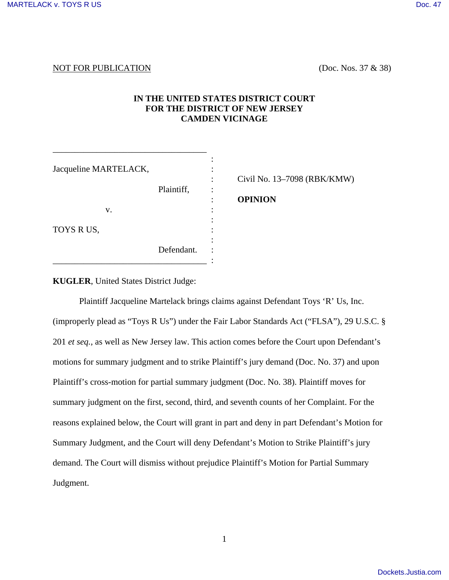# NOT FOR PUBLICATION (Doc. Nos. 37 & 38)

# **IN THE UNITED STATES DISTRICT COURT FOR THE DISTRICT OF NEW JERSEY CAMDEN VICINAGE**

| Jacqueline MARTELACK,<br>v.<br>TOYS R US, | Plaintiff, | Civil No. 13–7098 (RBK/KMW)<br><b>OPINION</b> |
|-------------------------------------------|------------|-----------------------------------------------|
|                                           | Defendant. |                                               |

**KUGLER**, United States District Judge:

\_\_\_\_\_\_\_\_\_\_\_\_\_\_\_\_\_\_\_\_\_\_\_\_\_\_\_\_\_\_\_\_\_\_\_

Plaintiff Jacqueline Martelack brings claims against Defendant Toys 'R' Us, Inc. (improperly plead as "Toys R Us") under the Fair Labor Standards Act ("FLSA"), 29 U.S.C. § 201 *et seq.*, as well as New Jersey law. This action comes before the Court upon Defendant's motions for summary judgment and to strike Plaintiff's jury demand (Doc. No. 37) and upon Plaintiff's cross-motion for partial summary judgment (Doc. No. 38). Plaintiff moves for summary judgment on the first, second, third, and seventh counts of her Complaint. For the reasons explained below, the Court will grant in part and deny in part Defendant's Motion for Summary Judgment, and the Court will deny Defendant's Motion to Strike Plaintiff's jury demand. The Court will dismiss without prejudice Plaintiff's Motion for Partial Summary Judgment.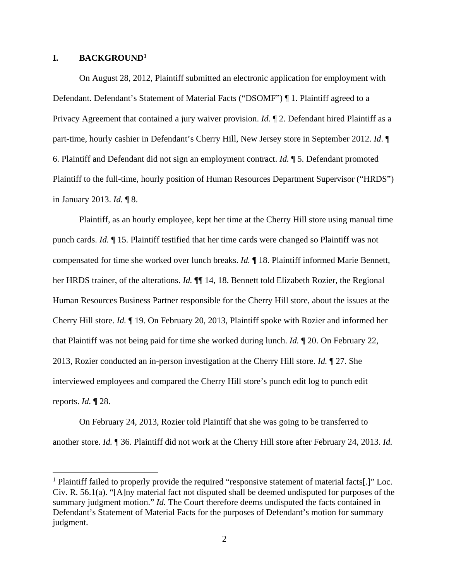#### **I. BACKGROUND<sup>1</sup>**

 On August 28, 2012, Plaintiff submitted an electronic application for employment with Defendant. Defendant's Statement of Material Facts ("DSOMF") ¶ 1. Plaintiff agreed to a Privacy Agreement that contained a jury waiver provision. *Id.* ¶ 2. Defendant hired Plaintiff as a part-time, hourly cashier in Defendant's Cherry Hill, New Jersey store in September 2012. *Id*. ¶ 6. Plaintiff and Defendant did not sign an employment contract. *Id.* ¶ 5. Defendant promoted Plaintiff to the full-time, hourly position of Human Resources Department Supervisor ("HRDS") in January 2013. *Id.* ¶ 8.

 Plaintiff, as an hourly employee, kept her time at the Cherry Hill store using manual time punch cards. *Id.* ¶ 15. Plaintiff testified that her time cards were changed so Plaintiff was not compensated for time she worked over lunch breaks. *Id.* ¶ 18. Plaintiff informed Marie Bennett, her HRDS trainer, of the alterations. *Id.* ¶¶ 14, 18. Bennett told Elizabeth Rozier, the Regional Human Resources Business Partner responsible for the Cherry Hill store, about the issues at the Cherry Hill store. *Id.* ¶ 19. On February 20, 2013, Plaintiff spoke with Rozier and informed her that Plaintiff was not being paid for time she worked during lunch. *Id.* ¶ 20. On February 22, 2013, Rozier conducted an in-person investigation at the Cherry Hill store. *Id.* ¶ 27. She interviewed employees and compared the Cherry Hill store's punch edit log to punch edit reports. *Id.* ¶ 28.

 On February 24, 2013, Rozier told Plaintiff that she was going to be transferred to another store. *Id.* ¶ 36. Plaintiff did not work at the Cherry Hill store after February 24, 2013. *Id.*

<sup>&</sup>lt;sup>1</sup> Plaintiff failed to properly provide the required "responsive statement of material facts[.]" Loc. Civ. R. 56.1(a). "[A]ny material fact not disputed shall be deemed undisputed for purposes of the summary judgment motion." *Id*. The Court therefore deems undisputed the facts contained in Defendant's Statement of Material Facts for the purposes of Defendant's motion for summary judgment.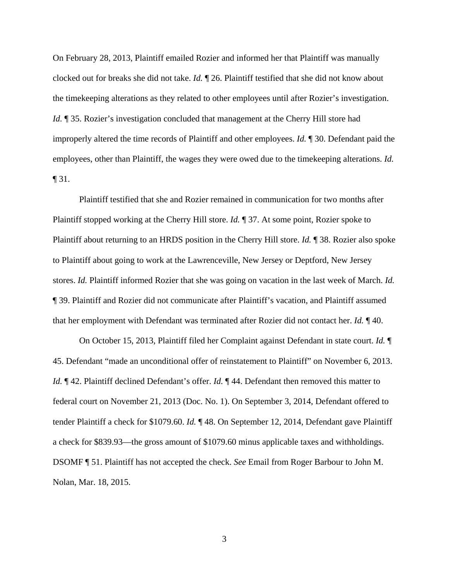On February 28, 2013, Plaintiff emailed Rozier and informed her that Plaintiff was manually clocked out for breaks she did not take. *Id.* ¶ 26. Plaintiff testified that she did not know about the timekeeping alterations as they related to other employees until after Rozier's investigation. *Id.*  $\parallel$  35. Rozier's investigation concluded that management at the Cherry Hill store had improperly altered the time records of Plaintiff and other employees. *Id.* ¶ 30. Defendant paid the employees, other than Plaintiff, the wages they were owed due to the timekeeping alterations. *Id.*  $\P$ 31.

 Plaintiff testified that she and Rozier remained in communication for two months after Plaintiff stopped working at the Cherry Hill store. *Id.* ¶ 37. At some point, Rozier spoke to Plaintiff about returning to an HRDS position in the Cherry Hill store. *Id.* ¶ 38. Rozier also spoke to Plaintiff about going to work at the Lawrenceville, New Jersey or Deptford, New Jersey stores. *Id.* Plaintiff informed Rozier that she was going on vacation in the last week of March. *Id.*  ¶ 39. Plaintiff and Rozier did not communicate after Plaintiff's vacation, and Plaintiff assumed that her employment with Defendant was terminated after Rozier did not contact her. *Id.* ¶ 40.

 On October 15, 2013, Plaintiff filed her Complaint against Defendant in state court. *Id.* ¶ 45. Defendant "made an unconditional offer of reinstatement to Plaintiff" on November 6, 2013. *Id.*  $\mathbb{I}$  42. Plaintiff declined Defendant's offer. *Id.*  $\mathbb{I}$  44. Defendant then removed this matter to federal court on November 21, 2013 (Doc. No. 1). On September 3, 2014, Defendant offered to tender Plaintiff a check for \$1079.60. *Id.* ¶ 48. On September 12, 2014, Defendant gave Plaintiff a check for \$839.93—the gross amount of \$1079.60 minus applicable taxes and withholdings. DSOMF ¶ 51. Plaintiff has not accepted the check. *See* Email from Roger Barbour to John M. Nolan, Mar. 18, 2015.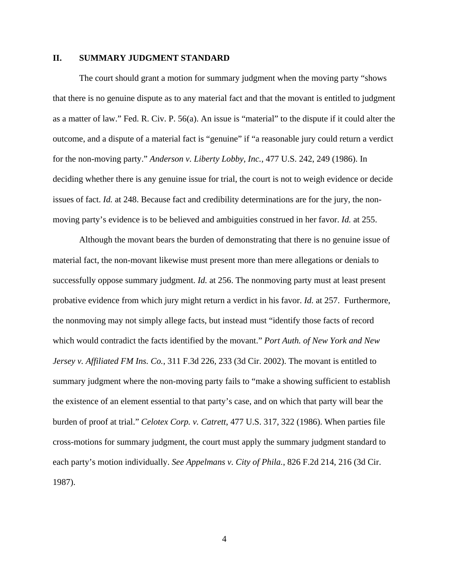### **II. SUMMARY JUDGMENT STANDARD**

The court should grant a motion for summary judgment when the moving party "shows that there is no genuine dispute as to any material fact and that the movant is entitled to judgment as a matter of law." Fed. R. Civ. P. 56(a). An issue is "material" to the dispute if it could alter the outcome, and a dispute of a material fact is "genuine" if "a reasonable jury could return a verdict for the non-moving party." *Anderson v. Liberty Lobby, Inc.*, 477 U.S. 242, 249 (1986). In deciding whether there is any genuine issue for trial, the court is not to weigh evidence or decide issues of fact. *Id.* at 248. Because fact and credibility determinations are for the jury, the nonmoving party's evidence is to be believed and ambiguities construed in her favor. *Id.* at 255.

Although the movant bears the burden of demonstrating that there is no genuine issue of material fact, the non-movant likewise must present more than mere allegations or denials to successfully oppose summary judgment. *Id.* at 256. The nonmoving party must at least present probative evidence from which jury might return a verdict in his favor. *Id.* at 257. Furthermore, the nonmoving may not simply allege facts, but instead must "identify those facts of record which would contradict the facts identified by the movant." *Port Auth. of New York and New Jersey v. Affiliated FM Ins. Co.*, 311 F.3d 226, 233 (3d Cir. 2002). The movant is entitled to summary judgment where the non-moving party fails to "make a showing sufficient to establish the existence of an element essential to that party's case, and on which that party will bear the burden of proof at trial." *Celotex Corp. v. Catrett*, 477 U.S. 317, 322 (1986). When parties file cross-motions for summary judgment, the court must apply the summary judgment standard to each party's motion individually. *See Appelmans v. City of Phila.*, 826 F.2d 214, 216 (3d Cir. 1987).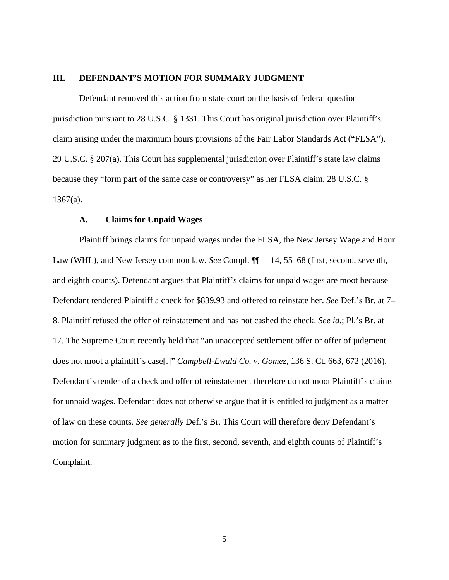### **III. DEFENDANT'S MOTION FOR SUMMARY JUDGMENT**

Defendant removed this action from state court on the basis of federal question jurisdiction pursuant to 28 U.S.C. § 1331. This Court has original jurisdiction over Plaintiff's claim arising under the maximum hours provisions of the Fair Labor Standards Act ("FLSA"). 29 U.S.C. § 207(a). This Court has supplemental jurisdiction over Plaintiff's state law claims because they "form part of the same case or controversy" as her FLSA claim. 28 U.S.C. §  $1367(a)$ .

#### **A. Claims for Unpaid Wages**

 Plaintiff brings claims for unpaid wages under the FLSA, the New Jersey Wage and Hour Law (WHL), and New Jersey common law. *See* Compl. ¶¶ 1–14, 55–68 (first, second, seventh, and eighth counts). Defendant argues that Plaintiff's claims for unpaid wages are moot because Defendant tendered Plaintiff a check for \$839.93 and offered to reinstate her. *See* Def.'s Br. at 7– 8. Plaintiff refused the offer of reinstatement and has not cashed the check. *See id.*; Pl.'s Br. at 17. The Supreme Court recently held that "an unaccepted settlement offer or offer of judgment does not moot a plaintiff's case[.]" *Campbell-Ewald Co. v. Gomez*, 136 S. Ct. 663, 672 (2016). Defendant's tender of a check and offer of reinstatement therefore do not moot Plaintiff's claims for unpaid wages. Defendant does not otherwise argue that it is entitled to judgment as a matter of law on these counts. *See generally* Def.'s Br. This Court will therefore deny Defendant's motion for summary judgment as to the first, second, seventh, and eighth counts of Plaintiff's Complaint.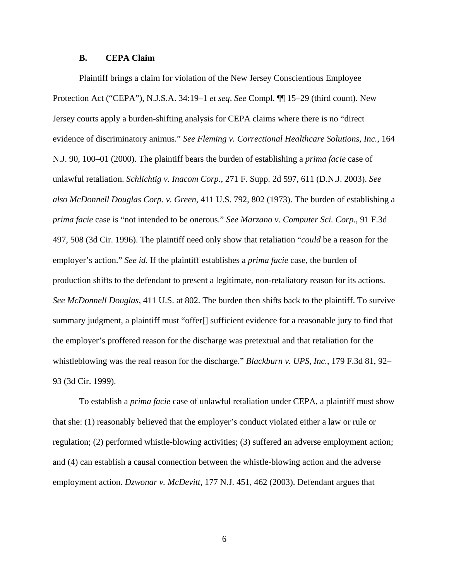#### **B. CEPA Claim**

 Plaintiff brings a claim for violation of the New Jersey Conscientious Employee Protection Act ("CEPA"), N.J.S.A. 34:19–1 *et seq*. *See* Compl. ¶¶ 15–29 (third count). New Jersey courts apply a burden-shifting analysis for CEPA claims where there is no "direct evidence of discriminatory animus." *See Fleming v. Correctional Healthcare Solutions, Inc.*, 164 N.J. 90, 100–01 (2000). The plaintiff bears the burden of establishing a *prima facie* case of unlawful retaliation. *Schlichtig v. Inacom Corp.*, 271 F. Supp. 2d 597, 611 (D.N.J. 2003). *See also McDonnell Douglas Corp. v. Green*, 411 U.S. 792, 802 (1973). The burden of establishing a *prima facie* case is "not intended to be onerous." *See Marzano v. Computer Sci. Corp.*, 91 F.3d 497, 508 (3d Cir. 1996). The plaintiff need only show that retaliation "*could* be a reason for the employer's action." *See id.* If the plaintiff establishes a *prima facie* case, the burden of production shifts to the defendant to present a legitimate, non-retaliatory reason for its actions. *See McDonnell Douglas*, 411 U.S. at 802. The burden then shifts back to the plaintiff. To survive summary judgment, a plaintiff must "offer[] sufficient evidence for a reasonable jury to find that the employer's proffered reason for the discharge was pretextual and that retaliation for the whistleblowing was the real reason for the discharge." *Blackburn v. UPS, Inc.*, 179 F.3d 81, 92– 93 (3d Cir. 1999).

To establish a *prima facie* case of unlawful retaliation under CEPA, a plaintiff must show that she: (1) reasonably believed that the employer's conduct violated either a law or rule or regulation; (2) performed whistle-blowing activities; (3) suffered an adverse employment action; and (4) can establish a causal connection between the whistle-blowing action and the adverse employment action. *Dzwonar v. McDevitt*, 177 N.J. 451, 462 (2003). Defendant argues that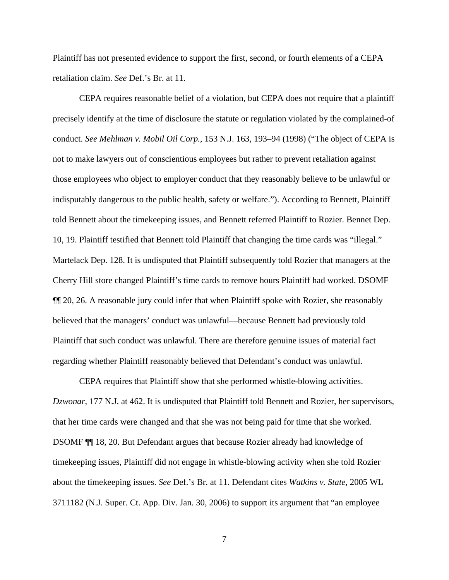Plaintiff has not presented evidence to support the first, second, or fourth elements of a CEPA retaliation claim. *See* Def.'s Br. at 11.

 CEPA requires reasonable belief of a violation, but CEPA does not require that a plaintiff precisely identify at the time of disclosure the statute or regulation violated by the complained-of conduct. *See Mehlman v. Mobil Oil Corp.*, 153 N.J. 163, 193–94 (1998) ("The object of CEPA is not to make lawyers out of conscientious employees but rather to prevent retaliation against those employees who object to employer conduct that they reasonably believe to be unlawful or indisputably dangerous to the public health, safety or welfare."). According to Bennett, Plaintiff told Bennett about the timekeeping issues, and Bennett referred Plaintiff to Rozier. Bennet Dep. 10, 19. Plaintiff testified that Bennett told Plaintiff that changing the time cards was "illegal." Martelack Dep. 128. It is undisputed that Plaintiff subsequently told Rozier that managers at the Cherry Hill store changed Plaintiff's time cards to remove hours Plaintiff had worked. DSOMF ¶¶ 20, 26. A reasonable jury could infer that when Plaintiff spoke with Rozier, she reasonably believed that the managers' conduct was unlawful—because Bennett had previously told Plaintiff that such conduct was unlawful. There are therefore genuine issues of material fact regarding whether Plaintiff reasonably believed that Defendant's conduct was unlawful.

 CEPA requires that Plaintiff show that she performed whistle-blowing activities. *Dzwonar*, 177 N.J. at 462. It is undisputed that Plaintiff told Bennett and Rozier, her supervisors, that her time cards were changed and that she was not being paid for time that she worked. DSOMF ¶¶ 18, 20. But Defendant argues that because Rozier already had knowledge of timekeeping issues, Plaintiff did not engage in whistle-blowing activity when she told Rozier about the timekeeping issues. *See* Def.'s Br. at 11. Defendant cites *Watkins v. State*, 2005 WL 3711182 (N.J. Super. Ct. App. Div. Jan. 30, 2006) to support its argument that "an employee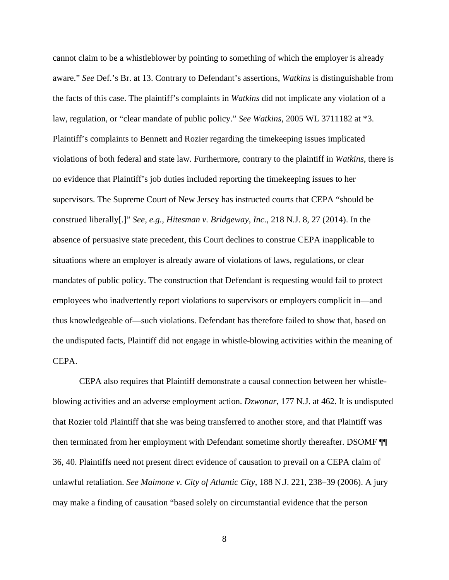cannot claim to be a whistleblower by pointing to something of which the employer is already aware." *See* Def.'s Br. at 13. Contrary to Defendant's assertions, *Watkins* is distinguishable from the facts of this case. The plaintiff's complaints in *Watkins* did not implicate any violation of a law, regulation, or "clear mandate of public policy." *See Watkins*, 2005 WL 3711182 at \*3. Plaintiff's complaints to Bennett and Rozier regarding the timekeeping issues implicated violations of both federal and state law. Furthermore, contrary to the plaintiff in *Watkins*, there is no evidence that Plaintiff's job duties included reporting the timekeeping issues to her supervisors. The Supreme Court of New Jersey has instructed courts that CEPA "should be construed liberally[.]" *See, e.g., Hitesman v. Bridgeway, Inc.*, 218 N.J. 8, 27 (2014). In the absence of persuasive state precedent, this Court declines to construe CEPA inapplicable to situations where an employer is already aware of violations of laws, regulations, or clear mandates of public policy. The construction that Defendant is requesting would fail to protect employees who inadvertently report violations to supervisors or employers complicit in—and thus knowledgeable of—such violations. Defendant has therefore failed to show that, based on the undisputed facts, Plaintiff did not engage in whistle-blowing activities within the meaning of CEPA.

 CEPA also requires that Plaintiff demonstrate a causal connection between her whistleblowing activities and an adverse employment action. *Dzwonar*, 177 N.J. at 462. It is undisputed that Rozier told Plaintiff that she was being transferred to another store, and that Plaintiff was then terminated from her employment with Defendant sometime shortly thereafter. DSOMF ¶¶ 36, 40. Plaintiffs need not present direct evidence of causation to prevail on a CEPA claim of unlawful retaliation. *See Maimone v. City of Atlantic City*, 188 N.J. 221, 238–39 (2006). A jury may make a finding of causation "based solely on circumstantial evidence that the person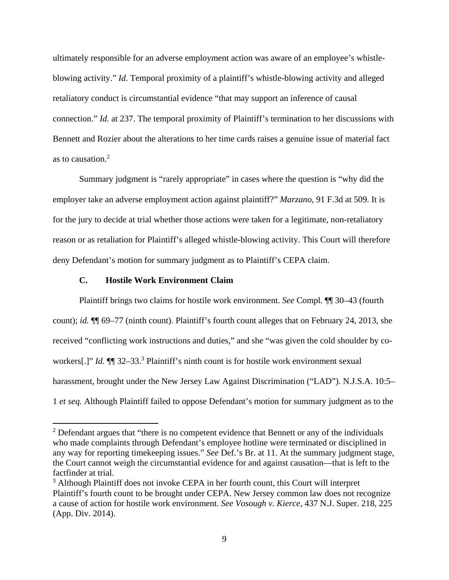ultimately responsible for an adverse employment action was aware of an employee's whistleblowing activity." *Id.* Temporal proximity of a plaintiff's whistle-blowing activity and alleged retaliatory conduct is circumstantial evidence "that may support an inference of causal connection." *Id.* at 237. The temporal proximity of Plaintiff's termination to her discussions with Bennett and Rozier about the alterations to her time cards raises a genuine issue of material fact as to causation.<sup>2</sup>

 Summary judgment is "rarely appropriate" in cases where the question is "why did the employer take an adverse employment action against plaintiff?" *Marzano*, 91 F.3d at 509. It is for the jury to decide at trial whether those actions were taken for a legitimate, non-retaliatory reason or as retaliation for Plaintiff's alleged whistle-blowing activity. This Court will therefore deny Defendant's motion for summary judgment as to Plaintiff's CEPA claim.

#### **C. Hostile Work Environment Claim**

 Plaintiff brings two claims for hostile work environment. *See* Compl. ¶¶ 30–43 (fourth count); *id.* ¶¶ 69–77 (ninth count). Plaintiff's fourth count alleges that on February 24, 2013, she received "conflicting work instructions and duties," and she "was given the cold shoulder by coworkers[.]" *Id.*  $\P$ <sup> $\parallel$ </sup> 32–33.<sup>3</sup> Plaintiff's ninth count is for hostile work environment sexual harassment, brought under the New Jersey Law Against Discrimination ("LAD"). N.J.S.A. 10:5– 1 *et seq.* Although Plaintiff failed to oppose Defendant's motion for summary judgment as to the

 $2$  Defendant argues that "there is no competent evidence that Bennett or any of the individuals who made complaints through Defendant's employee hotline were terminated or disciplined in any way for reporting timekeeping issues." *See* Def.'s Br. at 11. At the summary judgment stage, the Court cannot weigh the circumstantial evidence for and against causation—that is left to the factfinder at trial.

<sup>&</sup>lt;sup>3</sup> Although Plaintiff does not invoke CEPA in her fourth count, this Court will interpret Plaintiff's fourth count to be brought under CEPA. New Jersey common law does not recognize a cause of action for hostile work environment. *See Vosough v. Kierce*, 437 N.J. Super. 218, 225 (App. Div. 2014).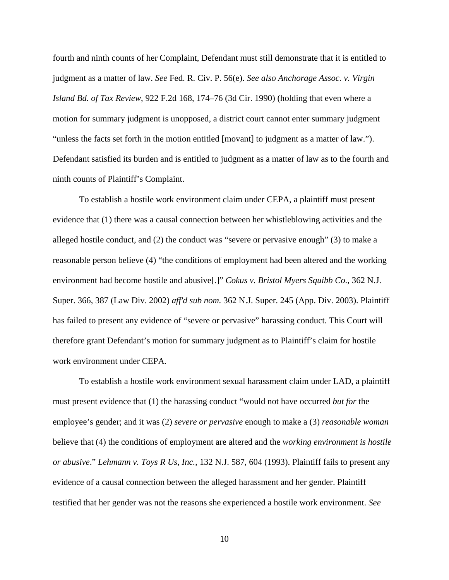fourth and ninth counts of her Complaint, Defendant must still demonstrate that it is entitled to judgment as a matter of law. *See* Fed. R. Civ. P. 56(e). *See also Anchorage Assoc. v. Virgin Island Bd. of Tax Review*, 922 F.2d 168, 174–76 (3d Cir. 1990) (holding that even where a motion for summary judgment is unopposed, a district court cannot enter summary judgment "unless the facts set forth in the motion entitled [movant] to judgment as a matter of law."). Defendant satisfied its burden and is entitled to judgment as a matter of law as to the fourth and ninth counts of Plaintiff's Complaint.

 To establish a hostile work environment claim under CEPA, a plaintiff must present evidence that (1) there was a causal connection between her whistleblowing activities and the alleged hostile conduct, and (2) the conduct was "severe or pervasive enough" (3) to make a reasonable person believe (4) "the conditions of employment had been altered and the working environment had become hostile and abusive[.]" *Cokus v. Bristol Myers Squibb Co.*, 362 N.J. Super. 366, 387 (Law Div. 2002) *aff'd sub nom.* 362 N.J. Super. 245 (App. Div. 2003). Plaintiff has failed to present any evidence of "severe or pervasive" harassing conduct. This Court will therefore grant Defendant's motion for summary judgment as to Plaintiff's claim for hostile work environment under CEPA.

 To establish a hostile work environment sexual harassment claim under LAD, a plaintiff must present evidence that (1) the harassing conduct "would not have occurred *but for* the employee's gender; and it was (2) *severe or pervasive* enough to make a (3) *reasonable woman* believe that (4) the conditions of employment are altered and the *working environment is hostile or abusive*." *Lehmann v. Toys R Us, Inc.*, 132 N.J. 587, 604 (1993). Plaintiff fails to present any evidence of a causal connection between the alleged harassment and her gender. Plaintiff testified that her gender was not the reasons she experienced a hostile work environment. *See*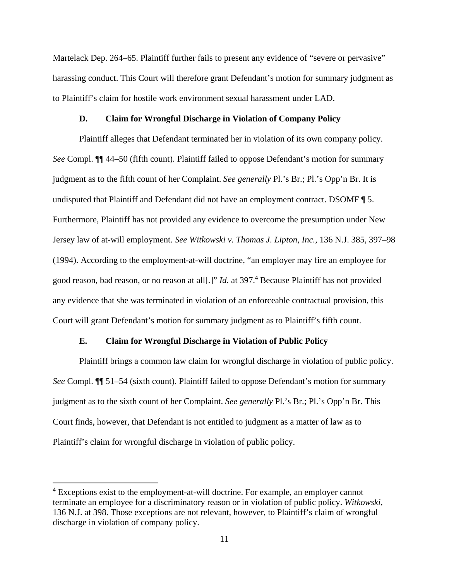Martelack Dep. 264–65. Plaintiff further fails to present any evidence of "severe or pervasive" harassing conduct. This Court will therefore grant Defendant's motion for summary judgment as to Plaintiff's claim for hostile work environment sexual harassment under LAD.

#### **D. Claim for Wrongful Discharge in Violation of Company Policy**

 Plaintiff alleges that Defendant terminated her in violation of its own company policy. *See* Compl. ¶¶ 44–50 (fifth count). Plaintiff failed to oppose Defendant's motion for summary judgment as to the fifth count of her Complaint. *See generally* Pl.'s Br.; Pl.'s Opp'n Br. It is undisputed that Plaintiff and Defendant did not have an employment contract. DSOMF ¶ 5. Furthermore, Plaintiff has not provided any evidence to overcome the presumption under New Jersey law of at-will employment. *See Witkowski v. Thomas J. Lipton, Inc.*, 136 N.J. 385, 397–98 (1994). According to the employment-at-will doctrine, "an employer may fire an employee for good reason, bad reason, or no reason at all<sup>[1]"</sup> *Id.* at 397.<sup>4</sup> Because Plaintiff has not provided any evidence that she was terminated in violation of an enforceable contractual provision, this Court will grant Defendant's motion for summary judgment as to Plaintiff's fifth count.

#### **E. Claim for Wrongful Discharge in Violation of Public Policy**

 Plaintiff brings a common law claim for wrongful discharge in violation of public policy. *See* Compl. ¶¶ 51–54 (sixth count). Plaintiff failed to oppose Defendant's motion for summary judgment as to the sixth count of her Complaint. *See generally* Pl.'s Br.; Pl.'s Opp'n Br. This Court finds, however, that Defendant is not entitled to judgment as a matter of law as to Plaintiff's claim for wrongful discharge in violation of public policy.

<sup>&</sup>lt;sup>4</sup> Exceptions exist to the employment-at-will doctrine. For example, an employer cannot terminate an employee for a discriminatory reason or in violation of public policy. *Witkowski*, 136 N.J. at 398. Those exceptions are not relevant, however, to Plaintiff's claim of wrongful discharge in violation of company policy.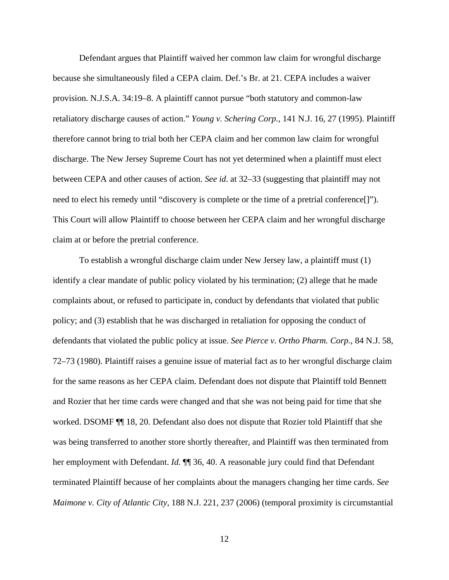Defendant argues that Plaintiff waived her common law claim for wrongful discharge because she simultaneously filed a CEPA claim. Def.'s Br. at 21. CEPA includes a waiver provision. N.J.S.A. 34:19–8. A plaintiff cannot pursue "both statutory and common-law retaliatory discharge causes of action." *Young v. Schering Corp.*, 141 N.J. 16, 27 (1995). Plaintiff therefore cannot bring to trial both her CEPA claim and her common law claim for wrongful discharge. The New Jersey Supreme Court has not yet determined when a plaintiff must elect between CEPA and other causes of action. *See id*. at 32–33 (suggesting that plaintiff may not need to elect his remedy until "discovery is complete or the time of a pretrial conference[]"). This Court will allow Plaintiff to choose between her CEPA claim and her wrongful discharge claim at or before the pretrial conference.

 To establish a wrongful discharge claim under New Jersey law, a plaintiff must (1) identify a clear mandate of public policy violated by his termination; (2) allege that he made complaints about, or refused to participate in, conduct by defendants that violated that public policy; and (3) establish that he was discharged in retaliation for opposing the conduct of defendants that violated the public policy at issue. *See Pierce v. Ortho Pharm. Corp.*, 84 N.J. 58, 72–73 (1980). Plaintiff raises a genuine issue of material fact as to her wrongful discharge claim for the same reasons as her CEPA claim. Defendant does not dispute that Plaintiff told Bennett and Rozier that her time cards were changed and that she was not being paid for time that she worked. DSOMF ¶¶ 18, 20. Defendant also does not dispute that Rozier told Plaintiff that she was being transferred to another store shortly thereafter, and Plaintiff was then terminated from her employment with Defendant. *Id.* **[1]** 36, 40. A reasonable jury could find that Defendant terminated Plaintiff because of her complaints about the managers changing her time cards. *See Maimone v. City of Atlantic City*, 188 N.J. 221, 237 (2006) (temporal proximity is circumstantial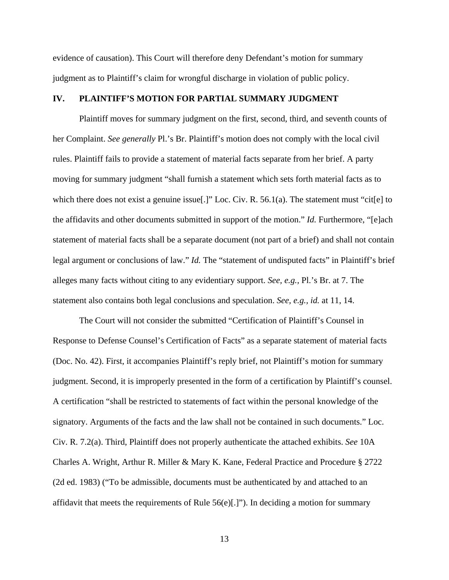evidence of causation). This Court will therefore deny Defendant's motion for summary judgment as to Plaintiff's claim for wrongful discharge in violation of public policy.

#### **IV. PLAINTIFF'S MOTION FOR PARTIAL SUMMARY JUDGMENT**

 Plaintiff moves for summary judgment on the first, second, third, and seventh counts of her Complaint. *See generally* Pl.'s Br. Plaintiff's motion does not comply with the local civil rules. Plaintiff fails to provide a statement of material facts separate from her brief. A party moving for summary judgment "shall furnish a statement which sets forth material facts as to which there does not exist a genuine issue[.]" Loc. Civ. R. 56.1(a). The statement must "cit[e] to the affidavits and other documents submitted in support of the motion." *Id.* Furthermore, "[e]ach statement of material facts shall be a separate document (not part of a brief) and shall not contain legal argument or conclusions of law." *Id*. The "statement of undisputed facts" in Plaintiff's brief alleges many facts without citing to any evidentiary support. *See, e.g.,* Pl.'s Br. at 7. The statement also contains both legal conclusions and speculation. *See, e.g., id.* at 11, 14.

 The Court will not consider the submitted "Certification of Plaintiff's Counsel in Response to Defense Counsel's Certification of Facts" as a separate statement of material facts (Doc. No. 42). First, it accompanies Plaintiff's reply brief, not Plaintiff's motion for summary judgment. Second, it is improperly presented in the form of a certification by Plaintiff's counsel. A certification "shall be restricted to statements of fact within the personal knowledge of the signatory. Arguments of the facts and the law shall not be contained in such documents." Loc. Civ. R. 7.2(a). Third, Plaintiff does not properly authenticate the attached exhibits. *See* 10A Charles A. Wright, Arthur R. Miller & Mary K. Kane, Federal Practice and Procedure § 2722 (2d ed. 1983) ("To be admissible, documents must be authenticated by and attached to an affidavit that meets the requirements of Rule  $56(e)$ [.]"). In deciding a motion for summary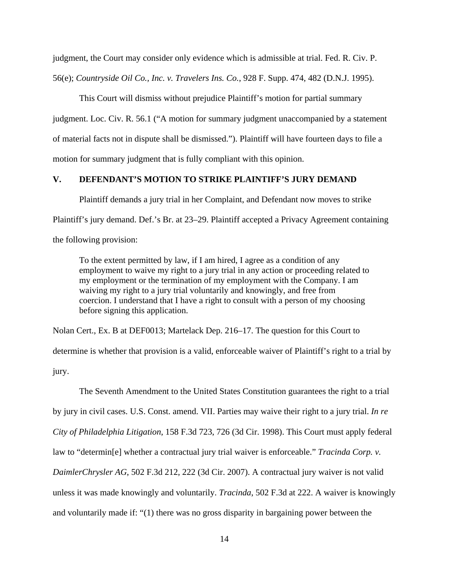judgment, the Court may consider only evidence which is admissible at trial. Fed. R. Civ. P. 56(e); *Countryside Oil Co., Inc. v. Travelers Ins. Co.*, 928 F. Supp. 474, 482 (D.N.J. 1995).

 This Court will dismiss without prejudice Plaintiff's motion for partial summary judgment. Loc. Civ. R. 56.1 ("A motion for summary judgment unaccompanied by a statement of material facts not in dispute shall be dismissed."). Plaintiff will have fourteen days to file a motion for summary judgment that is fully compliant with this opinion.

# **V. DEFENDANT'S MOTION TO STRIKE PLAINTIFF'S JURY DEMAND**

Plaintiff demands a jury trial in her Complaint, and Defendant now moves to strike Plaintiff's jury demand. Def.'s Br. at 23–29. Plaintiff accepted a Privacy Agreement containing the following provision:

To the extent permitted by law, if I am hired, I agree as a condition of any employment to waive my right to a jury trial in any action or proceeding related to my employment or the termination of my employment with the Company. I am waiving my right to a jury trial voluntarily and knowingly, and free from coercion. I understand that I have a right to consult with a person of my choosing before signing this application.

Nolan Cert., Ex. B at DEF0013; Martelack Dep. 216–17. The question for this Court to determine is whether that provision is a valid, enforceable waiver of Plaintiff's right to a trial by jury.

 The Seventh Amendment to the United States Constitution guarantees the right to a trial by jury in civil cases. U.S. Const. amend. VII. Parties may waive their right to a jury trial. *In re City of Philadelphia Litigation*, 158 F.3d 723, 726 (3d Cir. 1998). This Court must apply federal law to "determin[e] whether a contractual jury trial waiver is enforceable." *Tracinda Corp. v. DaimlerChrysler AG*, 502 F.3d 212, 222 (3d Cir. 2007). A contractual jury waiver is not valid unless it was made knowingly and voluntarily. *Tracinda*, 502 F.3d at 222. A waiver is knowingly and voluntarily made if: "(1) there was no gross disparity in bargaining power between the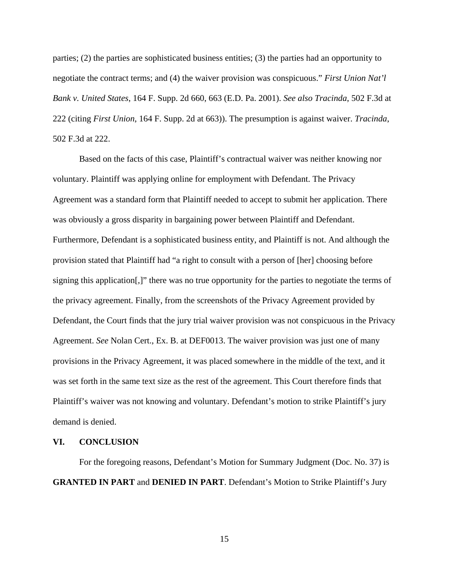parties; (2) the parties are sophisticated business entities; (3) the parties had an opportunity to negotiate the contract terms; and (4) the waiver provision was conspicuous." *First Union Nat'l Bank v. United States*, 164 F. Supp. 2d 660, 663 (E.D. Pa. 2001). *See also Tracinda*, 502 F.3d at 222 (citing *First Union*, 164 F. Supp. 2d at 663)). The presumption is against waiver. *Tracinda*, 502 F.3d at 222.

 Based on the facts of this case, Plaintiff's contractual waiver was neither knowing nor voluntary. Plaintiff was applying online for employment with Defendant. The Privacy Agreement was a standard form that Plaintiff needed to accept to submit her application. There was obviously a gross disparity in bargaining power between Plaintiff and Defendant. Furthermore, Defendant is a sophisticated business entity, and Plaintiff is not. And although the provision stated that Plaintiff had "a right to consult with a person of [her] choosing before signing this application[,]" there was no true opportunity for the parties to negotiate the terms of the privacy agreement. Finally, from the screenshots of the Privacy Agreement provided by Defendant, the Court finds that the jury trial waiver provision was not conspicuous in the Privacy Agreement. *See* Nolan Cert., Ex. B. at DEF0013. The waiver provision was just one of many provisions in the Privacy Agreement, it was placed somewhere in the middle of the text, and it was set forth in the same text size as the rest of the agreement. This Court therefore finds that Plaintiff's waiver was not knowing and voluntary. Defendant's motion to strike Plaintiff's jury demand is denied.

## **VI. CONCLUSION**

 For the foregoing reasons, Defendant's Motion for Summary Judgment (Doc. No. 37) is **GRANTED IN PART** and **DENIED IN PART**. Defendant's Motion to Strike Plaintiff's Jury